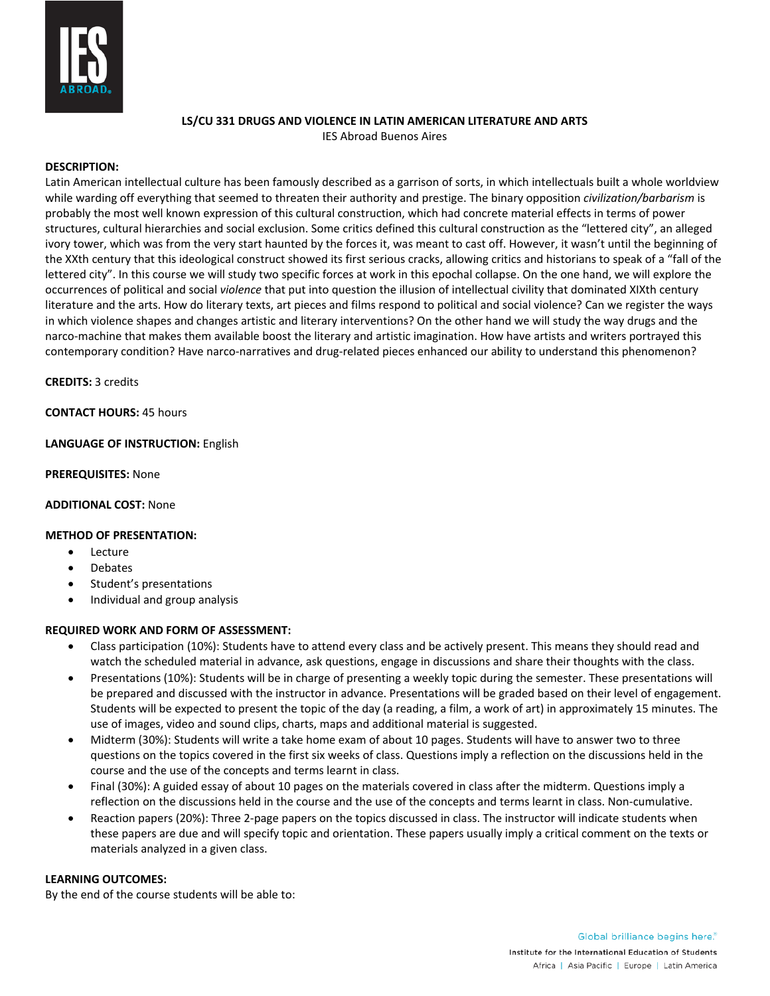

# **LS/CU 331 DRUGS AND VIOLENCE IN LATIN AMERICAN LITERATURE AND ARTS**

IES Abroad Buenos Aires

## **DESCRIPTION:**

Latin American intellectual culture has been famously described as a garrison of sorts, in which intellectuals built a whole worldview while warding off everything that seemed to threaten their authority and prestige. The binary opposition *civilization/barbarism* is probably the most well known expression of this cultural construction, which had concrete material effects in terms of power structures, cultural hierarchies and social exclusion. Some critics defined this cultural construction as the "lettered city", an alleged ivory tower, which was from the very start haunted by the forces it, was meant to cast off. However, it wasn't until the beginning of the XXth century that this ideological construct showed its first serious cracks, allowing critics and historians to speak of a "fall of the lettered city". In this course we will study two specific forces at work in this epochal collapse. On the one hand, we will explore the occurrences of political and social *violence* that put into question the illusion of intellectual civility that dominated XIXth century literature and the arts. How do literary texts, art pieces and films respond to political and social violence? Can we register the ways in which violence shapes and changes artistic and literary interventions? On the other hand we will study the way drugs and the narco-machine that makes them available boost the literary and artistic imagination. How have artists and writers portrayed this contemporary condition? Have narco-narratives and drug-related pieces enhanced our ability to understand this phenomenon?

**CREDITS:** 3 credits

**CONTACT HOURS:** 45 hours

## **LANGUAGE OF INSTRUCTION:** English

#### **PREREQUISITES:** None

## **ADDITIONAL COST:** None

## **METHOD OF PRESENTATION:**

- Lecture
- **Debates**
- Student's presentations
- Individual and group analysis

## **REQUIRED WORK AND FORM OF ASSESSMENT:**

- Class participation (10%): Students have to attend every class and be actively present. This means they should read and watch the scheduled material in advance, ask questions, engage in discussions and share their thoughts with the class.
- Presentations (10%): Students will be in charge of presenting a weekly topic during the semester. These presentations will be prepared and discussed with the instructor in advance. Presentations will be graded based on their level of engagement. Students will be expected to present the topic of the day (a reading, a film, a work of art) in approximately 15 minutes. The use of images, video and sound clips, charts, maps and additional material is suggested.
- Midterm (30%): Students will write a take home exam of about 10 pages. Students will have to answer two to three questions on the topics covered in the first six weeks of class. Questions imply a reflection on the discussions held in the course and the use of the concepts and terms learnt in class.
- Final (30%): A guided essay of about 10 pages on the materials covered in class after the midterm. Questions imply a reflection on the discussions held in the course and the use of the concepts and terms learnt in class. Non-cumulative.
- Reaction papers (20%): Three 2-page papers on the topics discussed in class. The instructor will indicate students when these papers are due and will specify topic and orientation. These papers usually imply a critical comment on the texts or materials analyzed in a given class.

## **LEARNING OUTCOMES:**

By the end of the course students will be able to: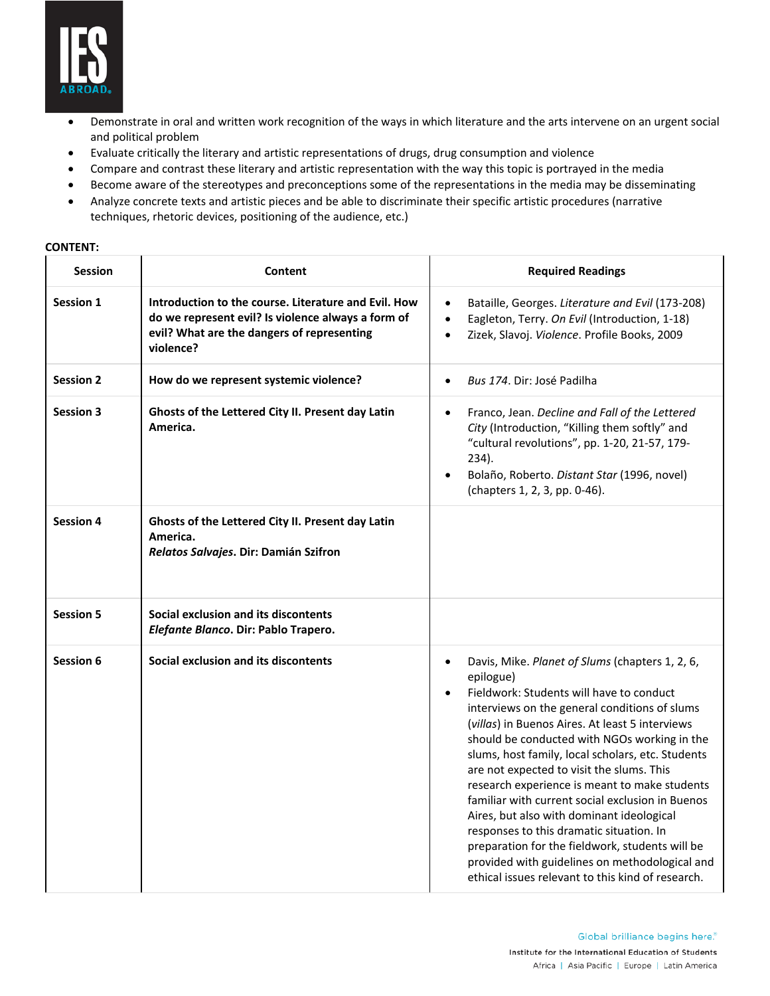

- Demonstrate in oral and written work recognition of the ways in which literature and the arts intervene on an urgent social and political problem
- Evaluate critically the literary and artistic representations of drugs, drug consumption and violence
- Compare and contrast these literary and artistic representation with the way this topic is portrayed in the media
- Become aware of the stereotypes and preconceptions some of the representations in the media may be disseminating
- Analyze concrete texts and artistic pieces and be able to discriminate their specific artistic procedures (narrative techniques, rhetoric devices, positioning of the audience, etc.)

| <b>Session</b>   | Content                                                                                                                                                               | <b>Required Readings</b>                                                                                                                                                                                                                                                                                                                                                                                                                                                                                                                                                                                                                                                                                                            |
|------------------|-----------------------------------------------------------------------------------------------------------------------------------------------------------------------|-------------------------------------------------------------------------------------------------------------------------------------------------------------------------------------------------------------------------------------------------------------------------------------------------------------------------------------------------------------------------------------------------------------------------------------------------------------------------------------------------------------------------------------------------------------------------------------------------------------------------------------------------------------------------------------------------------------------------------------|
| <b>Session 1</b> | Introduction to the course. Literature and Evil. How<br>do we represent evil? Is violence always a form of<br>evil? What are the dangers of representing<br>violence? | Bataille, Georges. Literature and Evil (173-208)<br>$\bullet$<br>Eagleton, Terry. On Evil (Introduction, 1-18)<br>$\bullet$<br>Zizek, Slavoj. Violence. Profile Books, 2009<br>$\bullet$                                                                                                                                                                                                                                                                                                                                                                                                                                                                                                                                            |
| <b>Session 2</b> | How do we represent systemic violence?                                                                                                                                | Bus 174. Dir: José Padilha<br>$\bullet$                                                                                                                                                                                                                                                                                                                                                                                                                                                                                                                                                                                                                                                                                             |
| <b>Session 3</b> | Ghosts of the Lettered City II. Present day Latin<br>America.                                                                                                         | Franco, Jean. Decline and Fall of the Lettered<br>$\bullet$<br>City (Introduction, "Killing them softly" and<br>"cultural revolutions", pp. 1-20, 21-57, 179-<br>234).<br>Bolaño, Roberto. Distant Star (1996, novel)<br>(chapters 1, 2, 3, pp. 0-46).                                                                                                                                                                                                                                                                                                                                                                                                                                                                              |
| <b>Session 4</b> | Ghosts of the Lettered City II. Present day Latin<br>America.<br>Relatos Salvajes. Dir: Damián Szifron                                                                |                                                                                                                                                                                                                                                                                                                                                                                                                                                                                                                                                                                                                                                                                                                                     |
| <b>Session 5</b> | Social exclusion and its discontents<br>Elefante Blanco. Dir: Pablo Trapero.                                                                                          |                                                                                                                                                                                                                                                                                                                                                                                                                                                                                                                                                                                                                                                                                                                                     |
| Session 6        | Social exclusion and its discontents                                                                                                                                  | Davis, Mike. Planet of Slums (chapters 1, 2, 6,<br>$\bullet$<br>epilogue)<br>Fieldwork: Students will have to conduct<br>interviews on the general conditions of slums<br>(villas) in Buenos Aires. At least 5 interviews<br>should be conducted with NGOs working in the<br>slums, host family, local scholars, etc. Students<br>are not expected to visit the slums. This<br>research experience is meant to make students<br>familiar with current social exclusion in Buenos<br>Aires, but also with dominant ideological<br>responses to this dramatic situation. In<br>preparation for the fieldwork, students will be<br>provided with guidelines on methodological and<br>ethical issues relevant to this kind of research. |

#### **CONTENT:**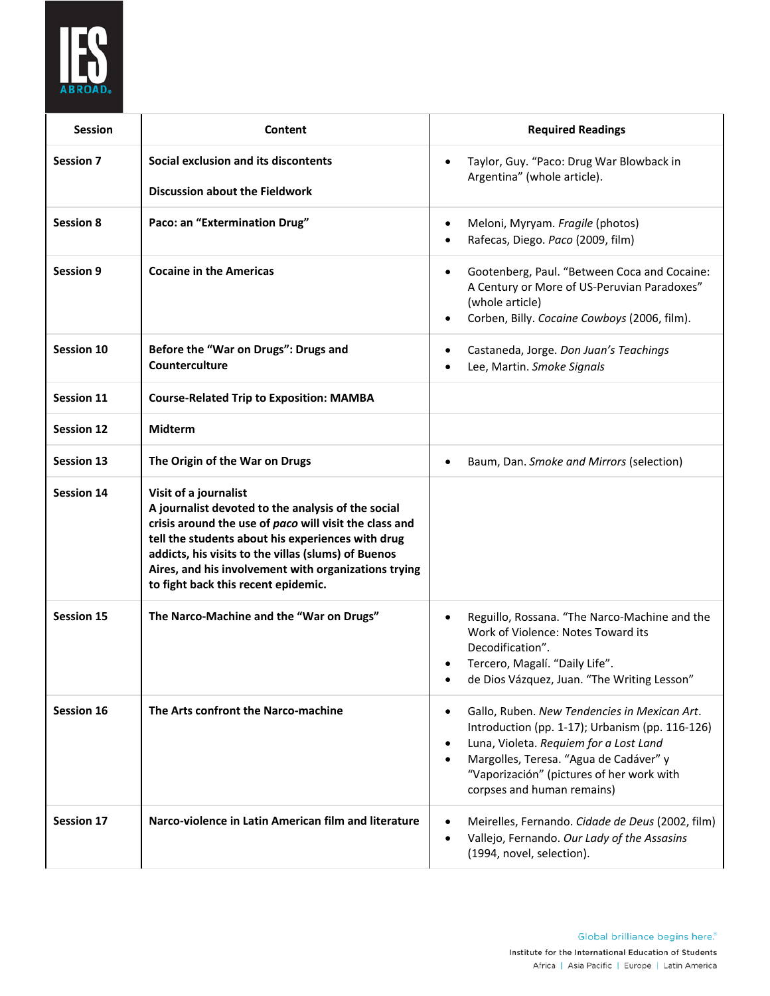

| <b>Session</b>    | Content                                                                                                                                                                                                                                                                                                                                          | <b>Required Readings</b>                                                                                                                                                                                                                                                                              |
|-------------------|--------------------------------------------------------------------------------------------------------------------------------------------------------------------------------------------------------------------------------------------------------------------------------------------------------------------------------------------------|-------------------------------------------------------------------------------------------------------------------------------------------------------------------------------------------------------------------------------------------------------------------------------------------------------|
| <b>Session 7</b>  | Social exclusion and its discontents<br><b>Discussion about the Fieldwork</b>                                                                                                                                                                                                                                                                    | Taylor, Guy. "Paco: Drug War Blowback in<br>$\bullet$<br>Argentina" (whole article).                                                                                                                                                                                                                  |
| <b>Session 8</b>  | Paco: an "Extermination Drug"                                                                                                                                                                                                                                                                                                                    | Meloni, Myryam. Fragile (photos)<br>$\bullet$<br>Rafecas, Diego. Paco (2009, film)<br>$\bullet$                                                                                                                                                                                                       |
| Session 9         | <b>Cocaine in the Americas</b>                                                                                                                                                                                                                                                                                                                   | Gootenberg, Paul. "Between Coca and Cocaine:<br>$\bullet$<br>A Century or More of US-Peruvian Paradoxes"<br>(whole article)<br>Corben, Billy. Cocaine Cowboys (2006, film).<br>$\bullet$                                                                                                              |
| Session 10        | Before the "War on Drugs": Drugs and<br>Counterculture                                                                                                                                                                                                                                                                                           | Castaneda, Jorge. Don Juan's Teachings<br>٠<br>Lee, Martin. Smoke Signals<br>٠                                                                                                                                                                                                                        |
| <b>Session 11</b> | <b>Course-Related Trip to Exposition: MAMBA</b>                                                                                                                                                                                                                                                                                                  |                                                                                                                                                                                                                                                                                                       |
| <b>Session 12</b> | <b>Midterm</b>                                                                                                                                                                                                                                                                                                                                   |                                                                                                                                                                                                                                                                                                       |
| <b>Session 13</b> | The Origin of the War on Drugs                                                                                                                                                                                                                                                                                                                   | Baum, Dan. Smoke and Mirrors (selection)<br>٠                                                                                                                                                                                                                                                         |
| <b>Session 14</b> | Visit of a journalist<br>A journalist devoted to the analysis of the social<br>crisis around the use of paco will visit the class and<br>tell the students about his experiences with drug<br>addicts, his visits to the villas (slums) of Buenos<br>Aires, and his involvement with organizations trying<br>to fight back this recent epidemic. |                                                                                                                                                                                                                                                                                                       |
| <b>Session 15</b> | The Narco-Machine and the "War on Drugs"                                                                                                                                                                                                                                                                                                         | Reguillo, Rossana. "The Narco-Machine and the<br>$\bullet$<br>Work of Violence: Notes Toward its<br>Decodification".<br>Tercero, Magalí. "Daily Life".<br>de Dios Vázquez, Juan. "The Writing Lesson"                                                                                                 |
| Session 16        | The Arts confront the Narco-machine                                                                                                                                                                                                                                                                                                              | Gallo, Ruben. New Tendencies in Mexican Art.<br>$\bullet$<br>Introduction (pp. 1-17); Urbanism (pp. 116-126)<br>Luna, Violeta. Requiem for a Lost Land<br>$\bullet$<br>Margolles, Teresa. "Agua de Cadáver" y<br>$\bullet$<br>"Vaporización" (pictures of her work with<br>corpses and human remains) |
| <b>Session 17</b> | Narco-violence in Latin American film and literature                                                                                                                                                                                                                                                                                             | Meirelles, Fernando. Cidade de Deus (2002, film)<br>$\bullet$<br>Vallejo, Fernando. Our Lady of the Assasins<br>٠<br>(1994, novel, selection).                                                                                                                                                        |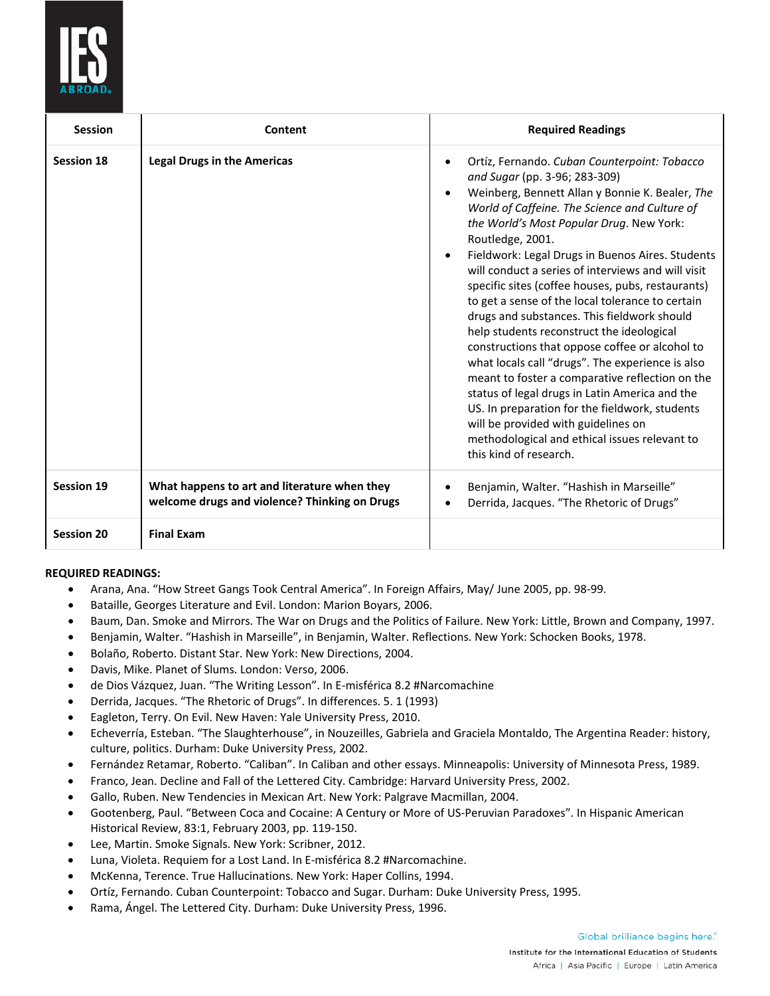

| <b>Session</b>    | Content                                                                                       | <b>Required Readings</b>                                                                                                                                                                                                                                                                                                                                                                                                                                                                                                                                                                                                                                                                                                                                                                                                                                                                                                                                                               |
|-------------------|-----------------------------------------------------------------------------------------------|----------------------------------------------------------------------------------------------------------------------------------------------------------------------------------------------------------------------------------------------------------------------------------------------------------------------------------------------------------------------------------------------------------------------------------------------------------------------------------------------------------------------------------------------------------------------------------------------------------------------------------------------------------------------------------------------------------------------------------------------------------------------------------------------------------------------------------------------------------------------------------------------------------------------------------------------------------------------------------------|
| <b>Session 18</b> | <b>Legal Drugs in the Americas</b>                                                            | Ortíz, Fernando. Cuban Counterpoint: Tobacco<br>$\bullet$<br>and Sugar (pp. 3-96; 283-309)<br>Weinberg, Bennett Allan y Bonnie K. Bealer, The<br>$\bullet$<br>World of Caffeine. The Science and Culture of<br>the World's Most Popular Drug. New York:<br>Routledge, 2001.<br>Fieldwork: Legal Drugs in Buenos Aires. Students<br>$\bullet$<br>will conduct a series of interviews and will visit<br>specific sites (coffee houses, pubs, restaurants)<br>to get a sense of the local tolerance to certain<br>drugs and substances. This fieldwork should<br>help students reconstruct the ideological<br>constructions that oppose coffee or alcohol to<br>what locals call "drugs". The experience is also<br>meant to foster a comparative reflection on the<br>status of legal drugs in Latin America and the<br>US. In preparation for the fieldwork, students<br>will be provided with guidelines on<br>methodological and ethical issues relevant to<br>this kind of research. |
| <b>Session 19</b> | What happens to art and literature when they<br>welcome drugs and violence? Thinking on Drugs | Benjamin, Walter. "Hashish in Marseille"<br>$\bullet$<br>Derrida, Jacques. "The Rhetoric of Drugs"<br>$\bullet$                                                                                                                                                                                                                                                                                                                                                                                                                                                                                                                                                                                                                                                                                                                                                                                                                                                                        |
| <b>Session 20</b> | <b>Final Exam</b>                                                                             |                                                                                                                                                                                                                                                                                                                                                                                                                                                                                                                                                                                                                                                                                                                                                                                                                                                                                                                                                                                        |

## **REQUIRED READINGS:**

- Arana, Ana. "How Street Gangs Took Central America". In Foreign Affairs, May/ June 2005, pp. 98-99.
- Bataille, Georges Literature and Evil. London: Marion Boyars, 2006.
- Baum, Dan. Smoke and Mirrors. The War on Drugs and the Politics of Failure. New York: Little, Brown and Company, 1997.
- Benjamin, Walter. "Hashish in Marseille", in Benjamin, Walter. Reflections. New York: Schocken Books, 1978.
- Bolaño, Roberto. Distant Star. New York: New Directions, 2004.
- Davis, Mike. Planet of Slums. London: Verso, 2006.
- de Dios Vázquez, Juan. "The Writing Lesson". In E-misférica 8.2 #Narcomachine
- Derrida, Jacques. "The Rhetoric of Drugs". In differences. 5. 1 (1993)
- Eagleton, Terry. On Evil. New Haven: Yale University Press, 2010.
- Echeverría, Esteban. "The Slaughterhouse", in Nouzeilles, Gabriela and Graciela Montaldo, The Argentina Reader: history, culture, politics. Durham: Duke University Press, 2002.
- Fernández Retamar, Roberto. "Caliban". In Caliban and other essays. Minneapolis: University of Minnesota Press, 1989.
- Franco, Jean. Decline and Fall of the Lettered City. Cambridge: Harvard University Press, 2002.
- Gallo, Ruben. New Tendencies in Mexican Art. New York: Palgrave Macmillan, 2004.
- Gootenberg, Paul. "Between Coca and Cocaine: A Century or More of US-Peruvian Paradoxes". In Hispanic American Historical Review, 83:1, February 2003, pp. 119-150.
- Lee, Martin. Smoke Signals. New York: Scribner, 2012.
- Luna, Violeta. Requiem for a Lost Land. In E-misférica 8.2 #Narcomachine.
- McKenna, Terence. True Hallucinations. New York: Haper Collins, 1994.
- Ortíz, Fernando. Cuban Counterpoint: Tobacco and Sugar. Durham: Duke University Press, 1995.
- Rama, Ángel. The Lettered City. Durham: Duke University Press, 1996.